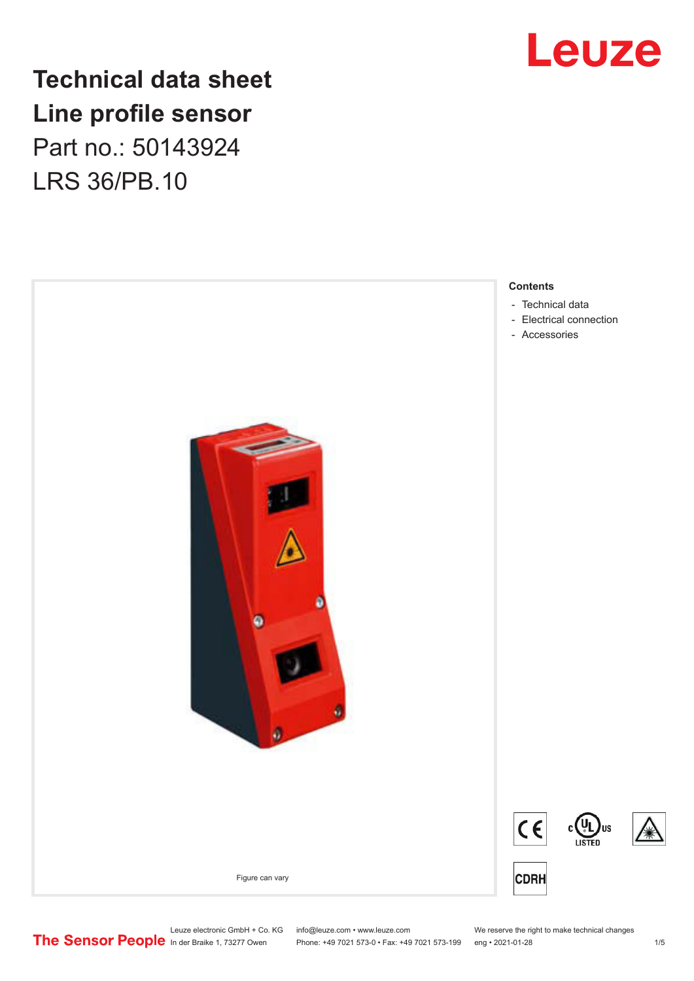

## **Technical data sheet Line profile sensor** Part no.: 50143924 LRS 36/PB.10



Leuze electronic GmbH + Co. KG info@leuze.com • www.leuze.com We reserve the right to make technical changes<br>
The Sensor People in der Braike 1, 73277 Owen Phone: +49 7021 573-0 • Fax: +49 7021 573-199 eng • 2021-01-28

Phone: +49 7021 573-0 • Fax: +49 7021 573-199 eng • 2021-01-28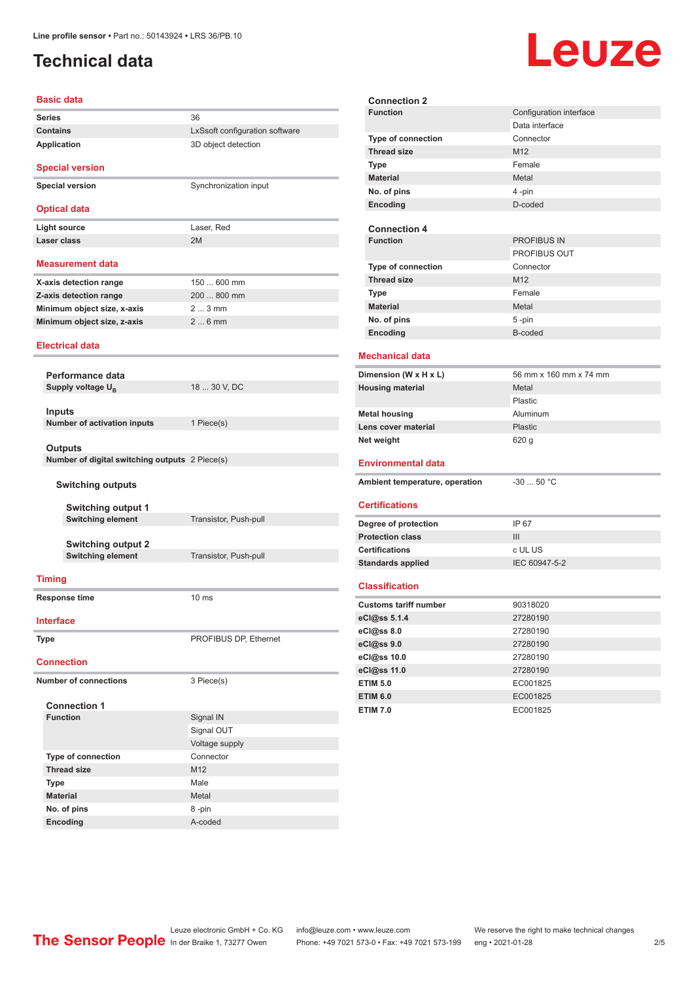## <span id="page-1-0"></span>**Technical data**

# Leuze

#### **Basic data Series** 36 **Contains Contains LxSsoft** configuration software **Application** 3D object detection **Special version Special version** Synchronization input **Optical data** Light source Laser, Red **Laser class** 2M **Measurement data X-axis detection range** 150 ... 600 mm **Z-axis detection range** 200 ... 800 mm **Minimum object size, x-axis** 2 ... 3 mm **Minimum object size, z-axis** 2 ... 6 mm **Electrical data Performance data Supply voltage U<sub>B</sub>** 18 ... 30 V, DC **Inputs Number of activation inputs** 1 Piece(s) **Outputs Number of digital switching outputs** 2 Piece(s) **Switching outputs Switching output 1 Switching element** Transistor, Push-pull **Switching output 2 Switching element** Transistor, Push-pull **Timing Response time** 10 ms **Interface Type** PROFIBUS DP, Ethernet **Connection Number of connections** 3 Piece(s) **Connection 1 Function** Signal IN Signal OUT Voltage supply **Type of connection** Connector **Thread size** M12 **Type** Male **Material** Metal **No. of pins** 8 -pin **Encoding** A-coded

| <b>Connection 2</b>            |                         |
|--------------------------------|-------------------------|
| <b>Function</b>                | Configuration interface |
|                                | Data interface          |
| Type of connection             | Connector               |
| <b>Thread size</b>             | M12                     |
| <b>Type</b>                    | Female                  |
| <b>Material</b>                | Metal                   |
| No. of pins                    | 4-pin                   |
| Encoding                       | D-coded                 |
|                                |                         |
| <b>Connection 4</b>            |                         |
| <b>Function</b>                | <b>PROFIBUS IN</b>      |
|                                | PROFIBUS OUT            |
| <b>Type of connection</b>      | Connector               |
| <b>Thread size</b>             | M <sub>12</sub>         |
| <b>Type</b>                    | Female                  |
| <b>Material</b>                | Metal                   |
| No. of pins                    | 5-pin                   |
| Encoding                       | B-coded                 |
| <b>Mechanical data</b>         |                         |
|                                |                         |
| Dimension (W x H x L)          | 56 mm x 160 mm x 74 mm  |
| <b>Housing material</b>        | Metal                   |
|                                | Plastic                 |
|                                |                         |
| <b>Metal housing</b>           | Aluminum                |
| Lens cover material            | Plastic                 |
| Net weight                     | 620 g                   |
|                                |                         |
| <b>Environmental data</b>      |                         |
| Ambient temperature, operation | $-30$ 50 °C             |
|                                |                         |
| <b>Certifications</b>          |                         |
| Degree of protection           | IP 67                   |
| <b>Protection class</b>        | III                     |
| <b>Certifications</b>          | c UL US                 |
| <b>Standards applied</b>       | IEC 60947-5-2           |
|                                |                         |
| <b>Classification</b>          |                         |
| <b>Customs tariff number</b>   | 90318020                |
|                                |                         |
| eCl@ss 5.1.4<br>eCl@ss 8.0     | 27280190<br>27280190    |
| eCl@ss 9.0                     | 27280190                |
| eCl@ss 10.0                    | 27280190                |
| eCl@ss 11.0                    | 27280190                |
| <b>ETIM 5.0</b>                | EC001825                |
| <b>ETIM 6.0</b>                | EC001825                |
| <b>ETIM 7.0</b>                | EC001825                |

Leuze electronic GmbH + Co. KG info@leuze.com • www.leuze.com We reserve the right to make technical changes<br>
The Sensor People in der Braike 1, 73277 Owen Phone: +49 7021 573-0 • Fax: +49 7021 573-199 eng • 2021-01-28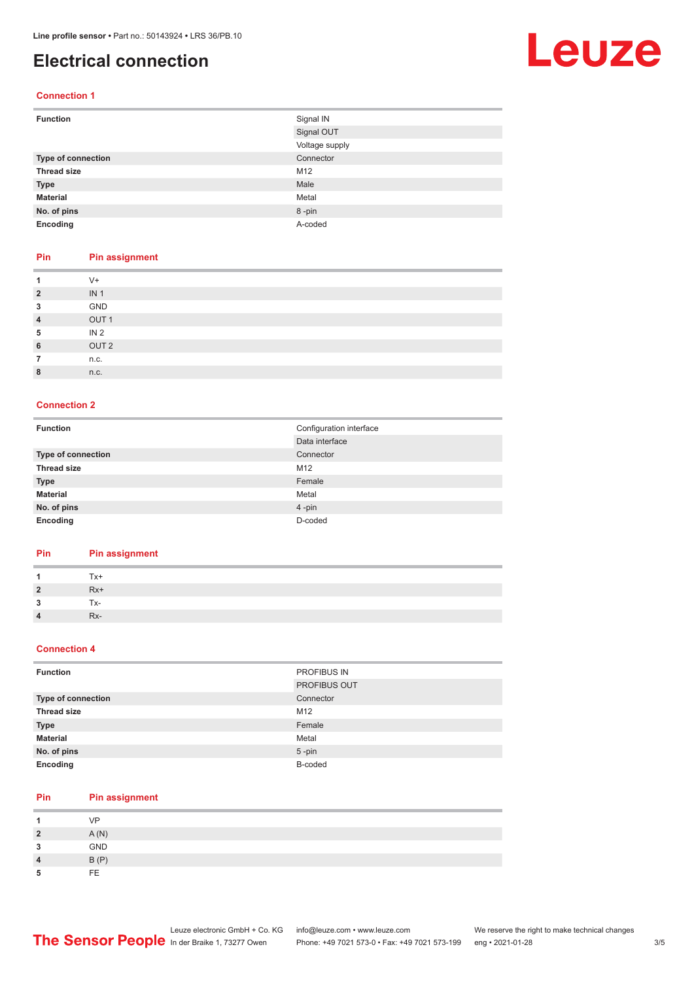## <span id="page-2-0"></span>**Electrical connection**

## Leuze

#### **Connection 1**

| <b>Function</b>           | Signal IN      |
|---------------------------|----------------|
|                           | Signal OUT     |
|                           | Voltage supply |
| <b>Type of connection</b> | Connector      |
| <b>Thread size</b>        | M12            |
| <b>Type</b>               | Male           |
| <b>Material</b>           | Metal          |
| No. of pins               | 8-pin          |
| Encoding                  | A-coded        |

#### **Pin Pin assignment**

| 1              | $V +$            |
|----------------|------------------|
| $\overline{2}$ | IN <sub>1</sub>  |
| 3              | GND              |
| $\overline{4}$ | OUT <sub>1</sub> |
| 5              | IN <sub>2</sub>  |
| 6              | OUT <sub>2</sub> |
| 7              | n.c.             |
| 8              | n.c.             |
|                |                  |

#### **Connection 2**

| <b>Function</b>    | Configuration interface |
|--------------------|-------------------------|
|                    | Data interface          |
| Type of connection | Connector               |
| <b>Thread size</b> | M12                     |
| <b>Type</b>        | Female                  |
| <b>Material</b>    | Metal                   |
| No. of pins        | 4-pin                   |
| Encoding           | D-coded                 |

#### **Pin Pin assignment**

| $\overline{1}$ | Tx+   |
|----------------|-------|
| $\overline{2}$ | $Rx+$ |
| -3             | Tx-   |
| $\overline{4}$ | Rx-   |

#### **Connection 4**

| <b>Function</b>           | PROFIBUS IN         |
|---------------------------|---------------------|
|                           | <b>PROFIBUS OUT</b> |
| <b>Type of connection</b> | Connector           |
| <b>Thread size</b>        | M12                 |
| <b>Type</b>               | Female              |
| <b>Material</b>           | Metal               |
| No. of pins               | $5$ -pin            |
| Encoding                  | B-coded             |

#### **Pin Pin assignment**

|        | VP         |
|--------|------------|
| ,      | A(N)       |
| ີ<br>w | <b>GND</b> |
| л      | B(P)       |
|        | FE.        |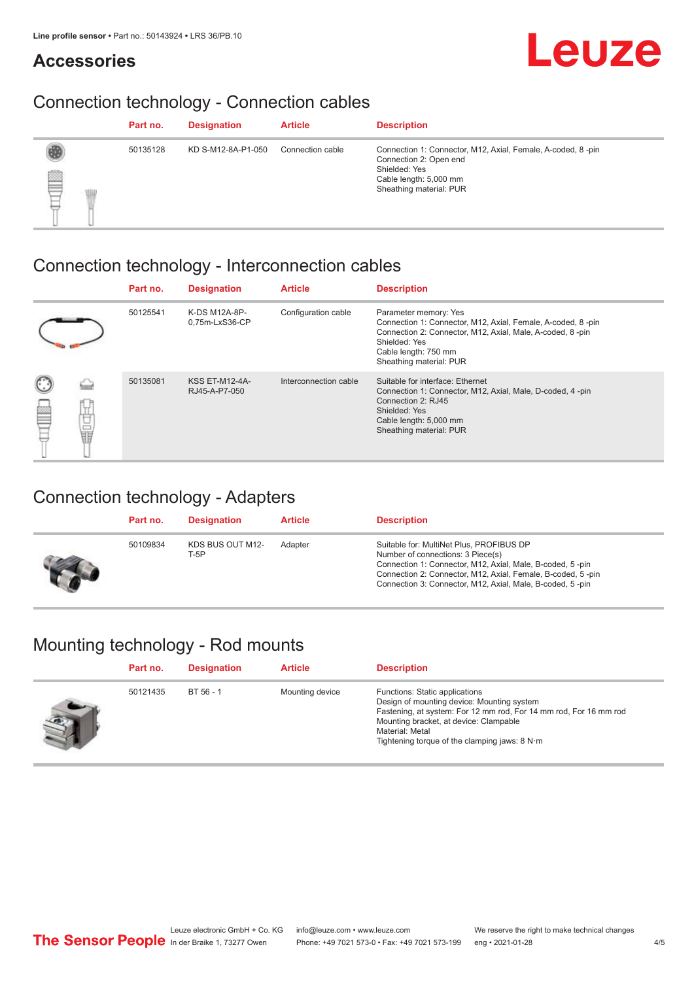### **Accessories**



## Connection technology - Connection cables

|    | Part no. | <b>Designation</b> | <b>Article</b>   | <b>Description</b>                                                                                                                                          |
|----|----------|--------------------|------------------|-------------------------------------------------------------------------------------------------------------------------------------------------------------|
| qq | 50135128 | KD S-M12-8A-P1-050 | Connection cable | Connection 1: Connector, M12, Axial, Female, A-coded, 8-pin<br>Connection 2: Open end<br>Shielded: Yes<br>Cable length: 5,000 mm<br>Sheathing material: PUR |

## Connection technology - Interconnection cables

|          | Part no. | <b>Designation</b>                     | <b>Article</b>        | <b>Description</b>                                                                                                                                                                                                    |
|----------|----------|----------------------------------------|-----------------------|-----------------------------------------------------------------------------------------------------------------------------------------------------------------------------------------------------------------------|
|          | 50125541 | K-DS M12A-8P-<br>0,75m-LxS36-CP        | Configuration cable   | Parameter memory: Yes<br>Connection 1: Connector, M12, Axial, Female, A-coded, 8-pin<br>Connection 2: Connector, M12, Axial, Male, A-coded, 8-pin<br>Shielded: Yes<br>Cable length: 750 mm<br>Sheathing material: PUR |
| 鋞<br>电晶体 | 50135081 | <b>KSS ET-M12-4A-</b><br>RJ45-A-P7-050 | Interconnection cable | Suitable for interface: Ethernet<br>Connection 1: Connector, M12, Axial, Male, D-coded, 4-pin<br>Connection 2: RJ45<br>Shielded: Yes<br>Cable length: 5,000 mm<br>Sheathing material: PUR                             |

## Connection technology - Adapters

| Part no. | <b>Designation</b>       | <b>Article</b> | <b>Description</b>                                                                                                                                                                                                                                                     |
|----------|--------------------------|----------------|------------------------------------------------------------------------------------------------------------------------------------------------------------------------------------------------------------------------------------------------------------------------|
| 50109834 | KDS BUS OUT M12-<br>T-5P | Adapter        | Suitable for: MultiNet Plus, PROFIBUS DP<br>Number of connections: 3 Piece(s)<br>Connection 1: Connector, M12, Axial, Male, B-coded, 5-pin<br>Connection 2: Connector, M12, Axial, Female, B-coded, 5-pin<br>Connection 3: Connector, M12, Axial, Male, B-coded, 5-pin |

## Mounting technology - Rod mounts

| Part no. | <b>Designation</b> | <b>Article</b>  | <b>Description</b>                                                                                                                                                                                                                                                |
|----------|--------------------|-----------------|-------------------------------------------------------------------------------------------------------------------------------------------------------------------------------------------------------------------------------------------------------------------|
| 50121435 | BT 56 - 1          | Mounting device | Functions: Static applications<br>Design of mounting device: Mounting system<br>Fastening, at system: For 12 mm rod, For 14 mm rod, For 16 mm rod<br>Mounting bracket, at device: Clampable<br>Material: Metal<br>Tightening torque of the clamping jaws: $8 N·m$ |